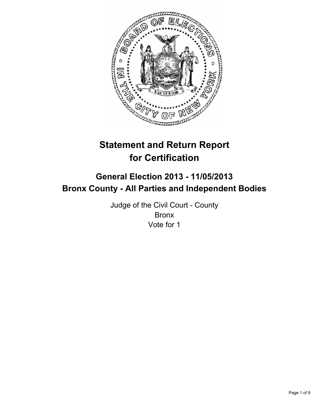

# **Statement and Return Report for Certification**

## **General Election 2013 - 11/05/2013 Bronx County - All Parties and Independent Bodies**

Judge of the Civil Court - County Bronx Vote for 1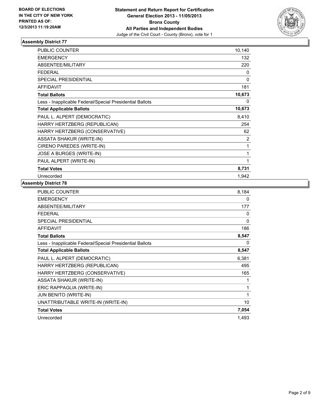

| <b>PUBLIC COUNTER</b>                                    | 10,140 |
|----------------------------------------------------------|--------|
| <b>EMERGENCY</b>                                         | 132    |
| ABSENTEE/MILITARY                                        | 220    |
| <b>FEDERAL</b>                                           | 0      |
| SPECIAL PRESIDENTIAL                                     | 0      |
| <b>AFFIDAVIT</b>                                         | 181    |
| <b>Total Ballots</b>                                     | 10,673 |
| Less - Inapplicable Federal/Special Presidential Ballots | 0      |
| <b>Total Applicable Ballots</b>                          | 10,673 |
| PAUL L. ALPERT (DEMOCRATIC)                              | 8,410  |
| HARRY HERTZBERG (REPUBLICAN)                             | 254    |
| HARRY HERTZBERG (CONSERVATIVE)                           | 62     |
| <b>ASSATA SHAKUR (WRITE-IN)</b>                          | 2      |
| CIRENO PAREDES (WRITE-IN)                                | 1      |
| JOSE A BURGES (WRITE-IN)                                 | 1      |
| PAUL ALPERT (WRITE-IN)                                   | 1      |
| <b>Total Votes</b>                                       | 8,731  |
| Unrecorded                                               | 1,942  |

| PUBLIC COUNTER                                           | 8,184 |
|----------------------------------------------------------|-------|
| <b>EMERGENCY</b>                                         | 0     |
| <b>ABSENTEE/MILITARY</b>                                 | 177   |
| <b>FEDERAL</b>                                           | 0     |
| <b>SPECIAL PRESIDENTIAL</b>                              | 0     |
| <b>AFFIDAVIT</b>                                         | 186   |
| <b>Total Ballots</b>                                     | 8,547 |
| Less - Inapplicable Federal/Special Presidential Ballots | 0     |
| <b>Total Applicable Ballots</b>                          | 8,547 |
| PAUL L. ALPERT (DEMOCRATIC)                              | 6,381 |
| HARRY HERTZBERG (REPUBLICAN)                             | 495   |
| HARRY HERTZBERG (CONSERVATIVE)                           | 165   |
| <b>ASSATA SHAKUR (WRITE-IN)</b>                          | 1     |
| ERIC RAPPAGLIA (WRITE-IN)                                | 1     |
| <b>JUN BENITO (WRITE-IN)</b>                             | 1     |
| UNATTRIBUTABLE WRITE-IN (WRITE-IN)                       | 10    |
| <b>Total Votes</b>                                       | 7,054 |
| Unrecorded                                               | 1,493 |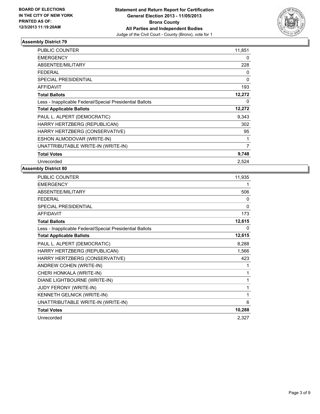

| <b>PUBLIC COUNTER</b>                                    | 11,851 |
|----------------------------------------------------------|--------|
| <b>EMERGENCY</b>                                         | 0      |
| ABSENTEE/MILITARY                                        | 228    |
| <b>FEDERAL</b>                                           | 0      |
| <b>SPECIAL PRESIDENTIAL</b>                              | 0      |
| <b>AFFIDAVIT</b>                                         | 193    |
| <b>Total Ballots</b>                                     | 12,272 |
| Less - Inapplicable Federal/Special Presidential Ballots | 0      |
| <b>Total Applicable Ballots</b>                          | 12,272 |
| PAUL L. ALPERT (DEMOCRATIC)                              | 9,343  |
| HARRY HERTZBERG (REPUBLICAN)                             | 302    |
| HARRY HERTZBERG (CONSERVATIVE)                           | 95     |
| ESHON ALMODOVAR (WRITE-IN)                               | 1      |
| UNATTRIBUTABLE WRITE-IN (WRITE-IN)                       | 7      |
| <b>Total Votes</b>                                       | 9,748  |
| Unrecorded                                               | 2.524  |

| PUBLIC COUNTER                                           | 11,935       |
|----------------------------------------------------------|--------------|
| <b>EMERGENCY</b>                                         | 1            |
| <b>ABSENTEE/MILITARY</b>                                 | 506          |
| <b>FFDFRAI</b>                                           | $\Omega$     |
| <b>SPECIAL PRESIDENTIAL</b>                              | $\mathbf{0}$ |
| <b>AFFIDAVIT</b>                                         | 173          |
| <b>Total Ballots</b>                                     | 12,615       |
| Less - Inapplicable Federal/Special Presidential Ballots | 0            |
| <b>Total Applicable Ballots</b>                          | 12,615       |
| PAUL L. ALPERT (DEMOCRATIC)                              | 8,288        |
| HARRY HERTZBERG (REPUBLICAN)                             | 1,566        |
| HARRY HERTZBERG (CONSERVATIVE)                           | 423          |
| ANDREW COHEN (WRITE-IN)                                  | 1            |
| CHERI HONKALA (WRITE-IN)                                 | 1            |
| DIANE LIGHTBOURNE (WRITE-IN)                             | 1            |
| JUDY FERONY (WRITE-IN)                                   | 1            |
| KENNETH GELNICK (WRITE-IN)                               | 1            |
| UNATTRIBUTABLE WRITE-IN (WRITE-IN)                       | 6            |
| <b>Total Votes</b>                                       | 10,288       |
| Unrecorded                                               | 2,327        |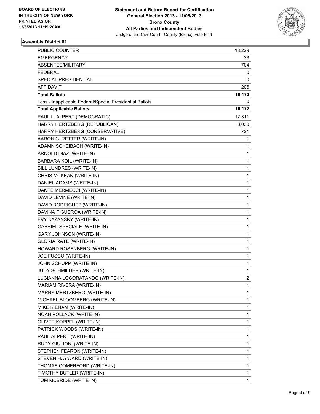

| PUBLIC COUNTER                                           | 18,229         |
|----------------------------------------------------------|----------------|
| EMERGENCY                                                | 33             |
| <b>ABSENTEE/MILITARY</b>                                 | 704            |
| FEDERAL                                                  | 0              |
| SPECIAL PRESIDENTIAL                                     | 0              |
| <b>AFFIDAVIT</b>                                         | 206            |
| <b>Total Ballots</b>                                     | 19,172         |
| Less - Inapplicable Federal/Special Presidential Ballots | 0              |
| <b>Total Applicable Ballots</b>                          | 19,172         |
| PAUL L. ALPERT (DEMOCRATIC)                              | 12,311         |
| HARRY HERTZBERG (REPUBLICAN)                             | 3,030          |
| HARRY HERTZBERG (CONSERVATIVE)                           | 721            |
| AARON C. RETTER (WRITE-IN)                               | 1              |
| ADAMN SCHEIBACH (WRITE-IN)                               | 1              |
| ARNOLD DIAZ (WRITE-IN)                                   | 1              |
| <b>BARBARA KOIL (WRITE-IN)</b>                           | 1              |
| BILL LUNDRES (WRITE-IN)                                  | 1              |
| CHRIS MCKEAN (WRITE-IN)                                  | 1              |
| DANIEL ADAMS (WRITE-IN)                                  | 1              |
| DANTE MERMECCI (WRITE-IN)                                | 1              |
| DAVID LEVINE (WRITE-IN)                                  | 1              |
| DAVID RODRIGUEZ (WRITE-IN)                               | 1              |
| DAVINA FIGUEROA (WRITE-IN)                               | 1              |
| EVY KAZANSKY (WRITE-IN)                                  | 1              |
| <b>GABRIEL SPECIALE (WRITE-IN)</b>                       | 1              |
| <b>GARY JOHNSON (WRITE-IN)</b>                           | 1              |
| <b>GLORIA RATE (WRITE-IN)</b>                            | 1              |
| HOWARD ROSENBERG (WRITE-IN)                              | 1              |
| JOE FUSCO (WRITE-IN)                                     | 1              |
| JOHN SCHUPP (WRITE-IN)                                   | 1              |
| JUDY SCHMILDER (WRITE-IN)                                | 1              |
| LUCIANNA LOCORATANDO (WRITE-IN)                          | $\overline{2}$ |
| MARIAM RIVERA (WRITE-IN)                                 | 1              |
| MARRY MERTZBERG (WRITE-IN)                               | 1              |
| MICHAEL BLOOMBERG (WRITE-IN)                             | 1              |
| MIKE KIENAM (WRITE-IN)                                   | 1              |
| NOAH POLLACK (WRITE-IN)                                  | 1              |
| OLIVER KOPPEL (WRITE-IN)                                 | 1              |
| PATRICK WOODS (WRITE-IN)                                 | 1              |
| PAUL ALPERT (WRITE-IN)                                   | 1              |
| RUDY GIULIONI (WRITE-IN)                                 | 1              |
| STEPHEN FEARON (WRITE-IN)                                | 1              |
| STEVEN HAYWARD (WRITE-IN)                                | 1              |
| THOMAS COMERFORD (WRITE-IN)                              | 1              |
| TIMOTHY BUTLER (WRITE-IN)                                | 1              |
| TOM MCBRIDE (WRITE-IN)                                   | 1              |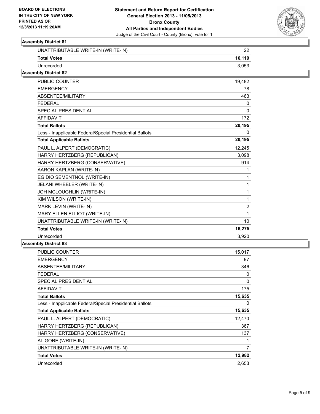

| UNATTRIBUTABLE WRITE-IN (WRITE-IN) | ົ      |
|------------------------------------|--------|
| <b>Total Votes</b>                 | 16.119 |
| Unrecorded                         | 3.053  |
| .                                  |        |

## **Assembly District 82**

| <b>PUBLIC COUNTER</b>                                    | 19,482         |
|----------------------------------------------------------|----------------|
| <b>EMERGENCY</b>                                         | 78             |
| ABSENTEE/MILITARY                                        | 463            |
| <b>FEDERAL</b>                                           | 0              |
| <b>SPECIAL PRESIDENTIAL</b>                              | $\mathbf 0$    |
| <b>AFFIDAVIT</b>                                         | 172            |
| <b>Total Ballots</b>                                     | 20,195         |
| Less - Inapplicable Federal/Special Presidential Ballots | 0              |
| <b>Total Applicable Ballots</b>                          | 20,195         |
| PAUL L. ALPERT (DEMOCRATIC)                              | 12,245         |
| HARRY HERTZBERG (REPUBLICAN)                             | 3,098          |
| HARRY HERTZBERG (CONSERVATIVE)                           | 914            |
| AARON KAPLAN (WRITE-IN)                                  | 1              |
| EGIDIO SEMENTNOL (WRITE-IN)                              | 1              |
| JELANI WHEELER (WRITE-IN)                                | 1              |
| JOH MCLOUGHLIN (WRITE-IN)                                | 1              |
| KIM WILSON (WRITE-IN)                                    | 1              |
| MARK LEVIN (WRITE-IN)                                    | $\overline{2}$ |
| MARY ELLEN ELLIOT (WRITE-IN)                             | 1              |
| UNATTRIBUTABLE WRITE-IN (WRITE-IN)                       | 10             |
| <b>Total Votes</b>                                       | 16,275         |
| Unrecorded                                               | 3,920          |
|                                                          |                |

| <b>PUBLIC COUNTER</b>                                    | 15,017         |
|----------------------------------------------------------|----------------|
| <b>EMERGENCY</b>                                         | 97             |
| ABSENTEE/MILITARY                                        | 346            |
| FEDERAL                                                  | 0              |
| <b>SPECIAL PRESIDENTIAL</b>                              | 0              |
| AFFIDAVIT                                                | 175            |
| <b>Total Ballots</b>                                     | 15,635         |
| Less - Inapplicable Federal/Special Presidential Ballots | 0              |
| <b>Total Applicable Ballots</b>                          | 15,635         |
| PAUL L. ALPERT (DEMOCRATIC)                              | 12,470         |
| HARRY HERTZBERG (REPUBLICAN)                             | 367            |
| HARRY HERTZBERG (CONSERVATIVE)                           | 137            |
| AL GORE (WRITE-IN)                                       | 1              |
| UNATTRIBUTABLE WRITE-IN (WRITE-IN)                       | $\overline{7}$ |
| <b>Total Votes</b>                                       | 12,982         |
| Unrecorded                                               | 2,653          |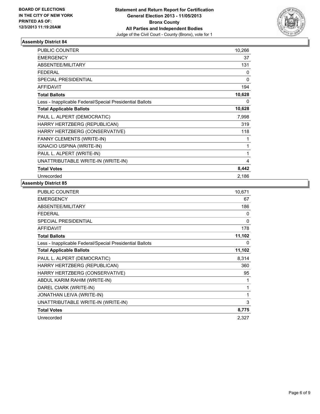

| <b>PUBLIC COUNTER</b>                                    | 10,266 |
|----------------------------------------------------------|--------|
| <b>EMERGENCY</b>                                         | 37     |
| ABSENTEE/MILITARY                                        | 131    |
| <b>FEDERAL</b>                                           | 0      |
| <b>SPECIAL PRESIDENTIAL</b>                              | 0      |
| <b>AFFIDAVIT</b>                                         | 194    |
| <b>Total Ballots</b>                                     | 10,628 |
| Less - Inapplicable Federal/Special Presidential Ballots | 0      |
| <b>Total Applicable Ballots</b>                          | 10,628 |
| PAUL L. ALPERT (DEMOCRATIC)                              | 7,998  |
| HARRY HERTZBERG (REPUBLICAN)                             | 319    |
| HARRY HERTZBERG (CONSERVATIVE)                           | 118    |
| <b>FANNY CLEMENTS (WRITE-IN)</b>                         | 1      |
| IGNACIO USPINA (WRITE-IN)                                | 1      |
| PAUL L. ALPERT (WRITE-IN)                                | 1      |
| UNATTRIBUTABLE WRITE-IN (WRITE-IN)                       | 4      |
| <b>Total Votes</b>                                       | 8,442  |
| Unrecorded                                               | 2,186  |

| PUBLIC COUNTER                                           | 10,671 |
|----------------------------------------------------------|--------|
| <b>EMERGENCY</b>                                         | 67     |
| <b>ABSENTEE/MILITARY</b>                                 | 186    |
| <b>FEDERAL</b>                                           | 0      |
| <b>SPECIAL PRESIDENTIAL</b>                              | 0      |
| <b>AFFIDAVIT</b>                                         | 178    |
| <b>Total Ballots</b>                                     | 11,102 |
| Less - Inapplicable Federal/Special Presidential Ballots | 0      |
| <b>Total Applicable Ballots</b>                          | 11,102 |
| PAUL L. ALPERT (DEMOCRATIC)                              | 8,314  |
| HARRY HERTZBERG (REPUBLICAN)                             | 360    |
| HARRY HERTZBERG (CONSERVATIVE)                           | 95     |
| ABDUL KARIM RAHIM (WRITE-IN)                             | 1      |
| DAREL CIARK (WRITE-IN)                                   | 1      |
| JONATHAN LEIVA (WRITE-IN)                                | 1      |
| UNATTRIBUTABLE WRITE-IN (WRITE-IN)                       | 3      |
| <b>Total Votes</b>                                       | 8,775  |
| Unrecorded                                               | 2,327  |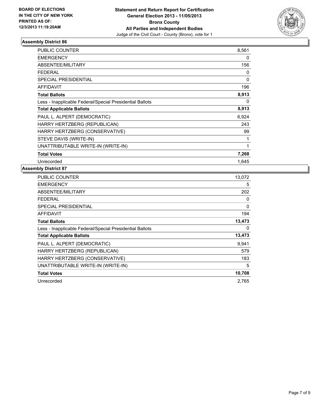

| <b>PUBLIC COUNTER</b>                                    | 8,561 |
|----------------------------------------------------------|-------|
| <b>EMERGENCY</b>                                         | 0     |
| ABSENTEE/MILITARY                                        | 156   |
| <b>FEDERAL</b>                                           | 0     |
| <b>SPECIAL PRESIDENTIAL</b>                              | 0     |
| <b>AFFIDAVIT</b>                                         | 196   |
| <b>Total Ballots</b>                                     | 8,913 |
| Less - Inapplicable Federal/Special Presidential Ballots | 0     |
| <b>Total Applicable Ballots</b>                          | 8,913 |
| PAUL L. ALPERT (DEMOCRATIC)                              | 6,924 |
| HARRY HERTZBERG (REPUBLICAN)                             | 243   |
| HARRY HERTZBERG (CONSERVATIVE)                           | 99    |
| STEVE DAVIS (WRITE-IN)                                   | 1     |
| UNATTRIBUTABLE WRITE-IN (WRITE-IN)                       | 1     |
| <b>Total Votes</b>                                       | 7,268 |
| Unrecorded                                               | 1.645 |

| 13.072 |
|--------|
| 5      |
| 202    |
| 0      |
| 0      |
| 194    |
| 13,473 |
| 0      |
| 13,473 |
| 9,941  |
| 579    |
| 183    |
| 5      |
| 10,708 |
| 2,765  |
|        |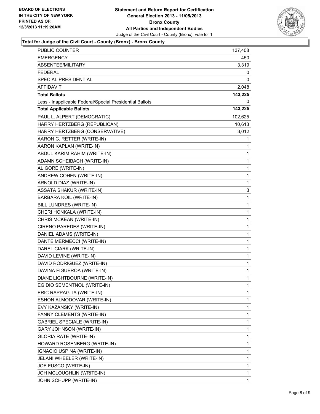

#### **Total for Judge of the Civil Court - County (Bronx) - Bronx County**

| PUBLIC COUNTER                                           | 137,408  |
|----------------------------------------------------------|----------|
| EMERGENCY                                                | 450      |
| ABSENTEE/MILITARY                                        | 3,319    |
| <b>FEDERAL</b>                                           | 0        |
| SPECIAL PRESIDENTIAL                                     | 0        |
| <b>AFFIDAVIT</b>                                         | 2,048    |
| <b>Total Ballots</b>                                     | 143,225  |
| Less - Inapplicable Federal/Special Presidential Ballots | $\Omega$ |
| <b>Total Applicable Ballots</b>                          | 143,225  |
| PAUL L. ALPERT (DEMOCRATIC)                              | 102,625  |
| HARRY HERTZBERG (REPUBLICAN)                             | 10,613   |
| HARRY HERTZBERG (CONSERVATIVE)                           | 3,012    |
| AARON C. RETTER (WRITE-IN)                               | 1        |
| AARON KAPLAN (WRITE-IN)                                  | 1        |
| ABDUL KARIM RAHIM (WRITE-IN)                             | 1        |
| ADAMN SCHEIBACH (WRITE-IN)                               | 1        |
| AL GORE (WRITE-IN)                                       | 1        |
| ANDREW COHEN (WRITE-IN)                                  | 1        |
| ARNOLD DIAZ (WRITE-IN)                                   | 1        |
| <b>ASSATA SHAKUR (WRITE-IN)</b>                          | 3        |
| BARBARA KOIL (WRITE-IN)                                  | 1        |
| BILL LUNDRES (WRITE-IN)                                  | 1        |
| CHERI HONKALA (WRITE-IN)                                 | 1        |
| CHRIS MCKEAN (WRITE-IN)                                  | 1        |
| CIRENO PAREDES (WRITE-IN)                                | 1        |
| DANIEL ADAMS (WRITE-IN)                                  | 1        |
| DANTE MERMECCI (WRITE-IN)                                | 1        |
| DAREL CIARK (WRITE-IN)                                   | 1        |
| DAVID LEVINE (WRITE-IN)                                  | 1        |
| DAVID RODRIGUEZ (WRITE-IN)                               | 1        |
| DAVINA FIGUEROA (WRITE-IN)                               | 1        |
| DIANE LIGHTBOURNE (WRITE-IN)                             | 1        |
| EGIDIO SEMENTNOL (WRITE-IN)                              | 1        |
| ERIC RAPPAGLIA (WRITE-IN)                                | 1        |
| ESHON ALMODOVAR (WRITE-IN)                               | 1        |
| EVY KAZANSKY (WRITE-IN)                                  | 1        |
| FANNY CLEMENTS (WRITE-IN)                                | 1        |
| <b>GABRIEL SPECIALE (WRITE-IN)</b>                       | 1        |
| <b>GARY JOHNSON (WRITE-IN)</b>                           | 1        |
| GLORIA RATE (WRITE-IN)                                   | 1        |
| HOWARD ROSENBERG (WRITE-IN)                              | 1        |
| IGNACIO USPINA (WRITE-IN)                                | 1        |
| JELANI WHEELER (WRITE-IN)                                | 1        |
| JOE FUSCO (WRITE-IN)                                     | 1        |
| JOH MCLOUGHLIN (WRITE-IN)                                | 1        |
| JOHN SCHUPP (WRITE-IN)                                   | 1        |
|                                                          |          |